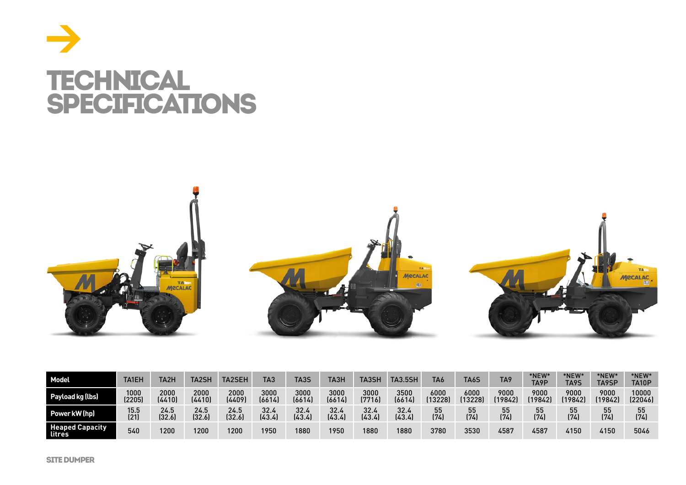



| Model                            | <b>TA1EH</b> | TA2H   | <b>TA2SF</b> | TA2SEH | TA3    | TA3S   | ТАЗН   | TA3SH  | <b>TA3.5SH</b> | TA6     | TA6S    | TA9     | *NEW<br>TA9P | *NEW*<br>TA9S | *NEW <sup>®</sup><br>TA9SP | *NEW <sup>*</sup><br>TA10P |
|----------------------------------|--------------|--------|--------------|--------|--------|--------|--------|--------|----------------|---------|---------|---------|--------------|---------------|----------------------------|----------------------------|
| Payload kg (lbs)                 | 1000         | 2000   | 2000         | 2000   | 3000   | 3000   | 3000   | 3000   | 3500           | 6000    | 6000    | 9000    | 9000         | 9000          | 9000                       | 10000                      |
|                                  | (2205)       | (4410) | (4410)       | (4409) | (6614) | (6614) | (6614) | (7716) | (6614)         | (13228) | (13228) | (19842) | (19842)      | (19842)       | (19842                     | (22046)                    |
| Power kW (hp)                    | 15.5         | 24.5   | 24.5         | 24.5   | 32.4   | 32.4   | 32.4   | 32.4   | 32.4           | 55      | 55      | 55      | 55           | 55            | 55                         | 55                         |
|                                  | (21)         | (32.6) | (32.6)       | (32.6) | (43.4) | (43.4) | (43.4) | (43.4) | (43.4)         | (74)    | (74)    | (74)    | (74)         | (74)          | (74)                       | (74)                       |
| <b>Heaped Capacity</b><br>litres | 540          | 1200   | 1200         | 1200   | 1950   | 1880   | 1950   | 1880   | 1880           | 3780    | 3530    | 4587    | 4587         | 4150          | 4150                       | 5046                       |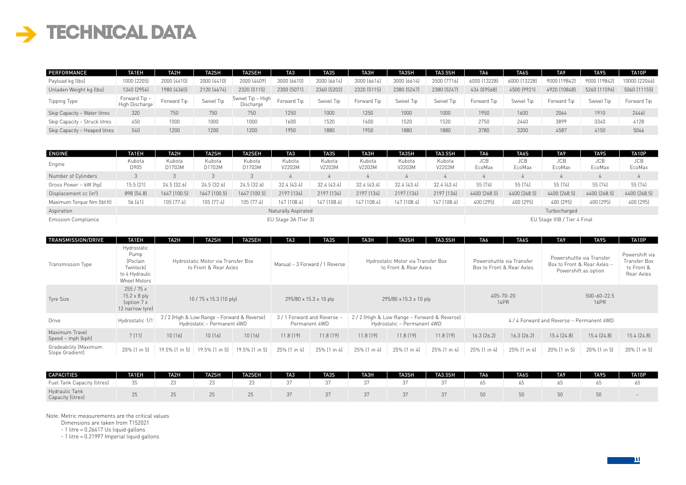## $\rightarrow$  TECHNICAL DATA

| PERFORMANCE                   | TA1EH                           | TA2H        | TA2SH       | <b>TA2SEH</b>                  | TA3         | TA3S        | <b>TA3H</b> | TA3SH       | <b>TA3.5SH</b> | TA6          | TA <sub>6</sub> S | TA <sub>9</sub> | TA9S         | TA10P         |
|-------------------------------|---------------------------------|-------------|-------------|--------------------------------|-------------|-------------|-------------|-------------|----------------|--------------|-------------------|-----------------|--------------|---------------|
| Payload kg (lbs)              | 1000 (2205)                     | 2000 (4410) | 2000 (4410) | 2000 (4409)                    | 3000 (6610) | 3000 (6614) | 3000 [6614] | 3000 (6614) | 3500 (7716)    | 6000 (13228) | 6000 [13228]      | 9000 (19842)    | 9000 (19842) | 10000 (22046) |
| Unladen Weight kg (lbs)       | 1340 (2954)                     | 1980 (4365) | 2120 (4674) | 2320 (5115)                    | 2300 (5071) | 2360 (5202) | 2320 (5115) | 2380 [5247] | 2380 (5247)    | 434 0(9568)  | 4500 (9921)       | 4920 [10848]    | 5260 (11596) | 5060 (11155)  |
| Tipping Type                  | Forward Tip –<br>High Discharge | Forward Tip | Swivel Tip  | Swivel Tip - High<br>Discharge | Forward Tip | Swivel Tip  | Forward Tip | Swivel Tip  | Swivel Tip     | Forward Tip  | Swivel Tip        | Forward Tip     | Swivel Tip   | Forward Tip   |
| Skip Capacity - Water litres  | 320                             | 750         | 750         | 750                            | 1250        | 1000        | 1250        | 1000        | 1000           | 1950         | 1600              | 2064            | 1910         | 2446]         |
| Skip Capacity - Struck litres | 450                             | 1000        | 1000        | 1000                           | 1600        | 1520        | 1600        | 1520        | 1520           | 2750         | 2440              | 3899            | 3340         | 4128          |
| Skip Capacity - Heaped litres | 540                             | 1200        | 1200        | 1200                           | 1950        | 1880        | 1950        | 1880        | 1880           | 3780         | 3200              | 4587            | 4150         | 5046          |

| <b>ENGINE</b>                      | <b>TA1EH</b>   | TA2H             | <b>TA2SH</b>     | <b>TA2SEH</b>    | TA <sub>3</sub>      | TA3S             | ТАЗН             | <b>TA3SH</b>     | <b>TA3.5SH</b>   | TA6                  | TA6S                 | TA <sub>9</sub>              | TA9S.                | TA10P                |
|------------------------------------|----------------|------------------|------------------|------------------|----------------------|------------------|------------------|------------------|------------------|----------------------|----------------------|------------------------------|----------------------|----------------------|
| Engine                             | Kubota<br>D905 | Kubota<br>D1703M | Kubota<br>D1703M | Kubota<br>D1703M | Kubota<br>V2203M     | Kubota<br>V2203M | Kubota<br>V2203M | Kubota<br>V2203M | Kubota<br>V2203M | <b>JCB</b><br>EcoMax | <b>JCB</b><br>EcoMax | JCB.<br>EcoMax               | <b>JCB</b><br>EcoMax | <b>JCB</b><br>EcoMax |
| Number of Cylinders                |                |                  |                  |                  |                      |                  |                  |                  |                  |                      |                      |                              |                      |                      |
| Gross Power - kW (hp)              | 15.5(21)       | 24.5 (32.6)      | $24.5$ $(32.6)$  | $24.5$ $(32.6)$  | 32.4 (43.4)          | 32.4 (43.4)      | 32.4 (43.4)      | 32.4 (43.4)      | 32.4 (43.4)      | 55 (74)              | 55 (74)              | 55 (74)                      | 55 (74)              | 55 (74)              |
| Displacement cc (in <sup>3</sup> ) | 898 [54.8]     | 1647 (100.5)     | 1647 (100.5)     | 1647 (100.5)     | 2197 [134]           | 2197 [134]       | 2197 (134)       | 2197 [134]       | 2197 [134]       | 4400 (268.5)         | 4400 [268.5]         | 4400 (268.5)                 | 4400 (268.5)         | 4400 (268.5)         |
| Maximum Torque Nm (lbf.ft)         | 56 (41)        | 105 (77.4)       | 105 (77.4)       | 105 (77.4)       | 147 (108.4)          | 147 (108.4)      | 147 (108.4)      | 147 (108.4)      | 147 (108.4)      | 400 (295)            | 400 (295)            | 400 [295]                    | 400 [295]            | 400 [295]            |
| Aspiration                         |                |                  |                  |                  | Naturally Aspirated  |                  |                  |                  |                  |                      |                      | Turbocharged                 |                      |                      |
| Emission Compliance                |                |                  |                  |                  | EU Stage 3A (Tier 3) |                  |                  |                  |                  |                      |                      | EU Stage IIIB / Tier 4 Final |                      |                      |

| TRANSMISSION/DRIVE                       | TA1EH                                                                          | TA2H           | TA2SH                                                                     | <b>TA2SEH</b>  | TA <sub>3</sub>             | TA3S                           | TA3H                                                                        | TA3SH                  | <b>TA3.5SH</b> | TA6             | TA6S                                                   | TA <sub>9</sub>                                                                  | TA9S                                                       | TA10P        |
|------------------------------------------|--------------------------------------------------------------------------------|----------------|---------------------------------------------------------------------------|----------------|-----------------------------|--------------------------------|-----------------------------------------------------------------------------|------------------------|----------------|-----------------|--------------------------------------------------------|----------------------------------------------------------------------------------|------------------------------------------------------------|--------------|
| Transmission Type                        | Hydrostatic<br>Pump<br>(Poclain<br>Twinlock)<br>to 4 Hydraulic<br>Wheel Motors |                | Hydrostatic Motor via Transfer Box<br>to Front & Rear Axles               |                |                             | Manual - 3 Forward / 1 Reverse | Hydrostatic Motor via Transfer Box<br>to Front & Rear Axles                 |                        |                |                 | Powershuttle via Transfer<br>Box to Front & Rear Axles | Powershuttle via Transfer<br>Box to Front & Rear Axles -<br>Powershift as option | Powershift via<br>Transfer Box<br>to Front &<br>Rear Axles |              |
| Tyre Size                                | 255/75x<br>$15.2 \times 8$ ply<br>(option 7 x<br>12 narrow tyre]               |                | 10 / 75 x 15.3 (10 ply)                                                   |                |                             | 295/80 x 15.3 x 10 ply         |                                                                             | 295/80 x 15.3 x 10 ply |                |                 | 405-70-20<br><b>14PR</b>                               |                                                                                  |                                                            |              |
| Drive                                    | Hydrostatic 1/1                                                                |                | 2/2 (High & Low Range - Forward & Reverse)<br>Hydrostatic - Permanent 4WD |                | 3 / 1 Forward and Reverse - | Permanent 4WD                  | 2 / 2 (High & Low Range - Forward & Reverse)<br>Hydrostatic - Permanent 4WD |                        |                |                 |                                                        | 4 / 4 Forward and Reverse - Permanent 4WD                                        |                                                            |              |
| Maximum Travel<br>Speed - mph (kph)      | 7(11)                                                                          | 10(16)         | 10(16)                                                                    | 10(16)         | 11.8[19]                    | 11.8(19)                       | 11.8(19)                                                                    | 11.8[19]               | 11.8[19]       | $16.3$ $[26.2]$ | $16.3$ $(26.2)$                                        | 15.4(24.8)                                                                       | 15.4 (24.8)                                                | 15.4 (24.8)  |
| Gradeability (Maximum<br>Slope Gradient) | 20% [1 in 5]                                                                   | 19.5% [1 in 5] | 19.5% [1 in 5]                                                            | 19.5% [1 in 5] | 25% [1 in 4]                | 25% [1 in 4]                   | 25% [1 in 4]                                                                | 25% (1 in 4)           | 25% [1 in 4]   | 25% [1 in 4]    | 25% [1 in 4]                                           | 20% (1 in 5)                                                                     | 20% [1 in 5]                                               | 20% [1 in 5] |

| CAPACITIES                          | <b>TA1EH</b> | TA2H | <b>TA2SH</b> | TA2SEH | TA <sub>3</sub> | TA3S | TA3H | <b>TA3SH</b> | <b>TA3.5SH</b> | TA6 | TA <sub>6</sub> S | TA <sub>9</sub> | TA9S | TA10P |
|-------------------------------------|--------------|------|--------------|--------|-----------------|------|------|--------------|----------------|-----|-------------------|-----------------|------|-------|
| Fuel Tank Capacity (litres)         |              |      | 23           |        |                 |      |      |              |                |     |                   |                 |      |       |
| Hydraulic Tank<br>Capacity (litres) |              |      |              |        |                 |      |      |              |                |     |                   |                 |      |       |

Note: Metric measurements are the critical values

Dimensions are taken from T152021

- 1 litre = 0.26417 Us liquid gallons

- 1 litre = 0.21997 Imperial liquid gallons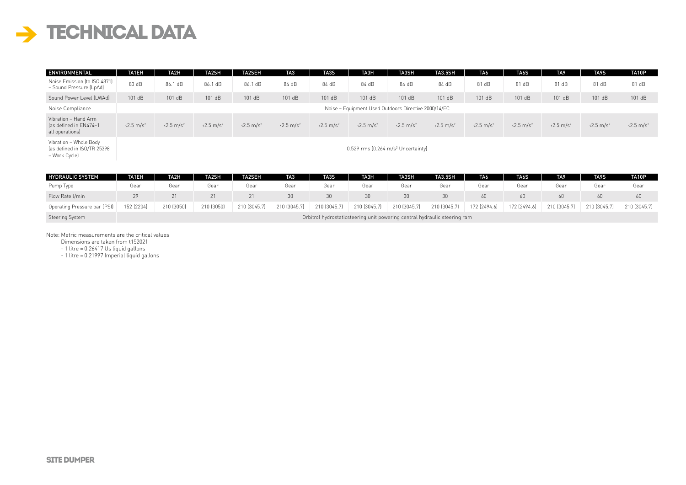## $\rightarrow$  TECHNICAL DATA

| ENVIRONMENTAL                                                          | TA1EH                         | TA2H                          | TA2SH                         | <b>TA2SEH</b>                 | TA3                           | TA3S                          | TA3H                                                 | TA3SH                         | <b>TA3.5SH</b>                | TA6                           | TA6S                          | TA <sub>9</sub>               | TA9S                          | TA10P                         |
|------------------------------------------------------------------------|-------------------------------|-------------------------------|-------------------------------|-------------------------------|-------------------------------|-------------------------------|------------------------------------------------------|-------------------------------|-------------------------------|-------------------------------|-------------------------------|-------------------------------|-------------------------------|-------------------------------|
| Noise Emission (to ISO 4871)<br>- Sound Pressure (LpAd)                | 83 dB                         | 86.1 dB                       | 86.1 dB                       | 86.1 dB                       | 84 dB                         | 84 dB                         | 84 dB                                                | 84 dB                         | 84 dB                         | 81 dB                         | 81 dB                         | 81 dB                         | 81 dB                         | 81 dB                         |
| Sound Power Level (LWAd)                                               | 101 dB                        | 101 dB                        | 101 dB                        | 101 dB                        | 101 dB                        | 101 dB                        | 101 dB                                               | 101 dB                        | 101 dB                        | 101 dB                        | 101 dB                        | 101 dB                        | 101 dB                        | 101dB                         |
| Noise Compliance                                                       |                               |                               |                               |                               |                               |                               | Noise - Equipment Used Outdoors Directive 2000/14/EC |                               |                               |                               |                               |                               |                               |                               |
| Vibration - Hand Arm<br>las defined in EN474-1<br>all operations)      | $\sqrt{2.5}$ m/s <sup>2</sup> | $\sqrt{2.5}$ m/s <sup>2</sup> | $\sqrt{2.5}$ m/s <sup>2</sup> | $\sqrt{2.5}$ m/s <sup>2</sup> | $\sqrt{2.5}$ m/s <sup>2</sup> | $\sqrt{2.5}$ m/s <sup>2</sup> | $\sqrt{2.5}$ m/s <sup>2</sup>                        | $\sqrt{2.5}$ m/s <sup>2</sup> | $\sqrt{2.5}$ m/s <sup>2</sup> | $\sqrt{2.5}$ m/s <sup>2</sup> | $\sqrt{2.5}$ m/s <sup>2</sup> | $\sqrt{2.5}$ m/s <sup>2</sup> | $\sqrt{2.5}$ m/s <sup>2</sup> | $\sqrt{2.5}$ m/s <sup>2</sup> |
| Vibration - Whole Body<br>(as defined in ISO/TR 25398<br>– Work Cycle) |                               |                               |                               |                               |                               |                               | $0.529$ rms $[0.264 \text{ m/s}^2$ Uncertainty]      |                               |                               |                               |                               |                               |                               |                               |

| <b>HYDRAULIC SYSTEM</b>      | TA1EH      | TA2H       | TA2SH      | <b>TA2SEH</b> | TA3          | TA3S         | TA3H                                                                      | TA3SH        | <b>TA3.5SH</b> | TA <sub>6</sub> | TA <sub>6</sub> S | TA <sub>9</sub> | TA9S         | TA10P        |
|------------------------------|------------|------------|------------|---------------|--------------|--------------|---------------------------------------------------------------------------|--------------|----------------|-----------------|-------------------|-----------------|--------------|--------------|
| Pump Type                    | Gear       | Gear       | Gear       | Gear          | Gear         | Gear         | Gear                                                                      | Gear         | Gear           | Gear            | Gear              | Gear            | Gear         | Gear         |
| Flow Rate Umin               | 29         |            |            | 21            | 30           | 30           | 30                                                                        | 30           |                | 60              | 60                |                 | 60           | 60           |
| Operating Pressure bar (PSI) | 152 (2204) | 210 (3050) | 210 (3050) | 210 (3045.7)  | 210 (3045.7) | 210 (3045.7) | 210 (3045.7)                                                              | 210 (3045.7) | 210 (3045.7)   | 172 (2494.6)    | 172 (2494.6)      | 210 (3045.7)    | 210 (3045.7) | 210 (3045.7) |
| Steering System              |            |            |            |               |              |              | Orbitrol hydrostaticsteering unit powering central hydraulic steering ram |              |                |                 |                   |                 |              |              |

Note: Metric measurements are the critical values

Dimensions are taken from t152021

- 1 litre = 0.26417 Us liquid gallons

- 1 litre = 0.21997 Imperial liquid gallons